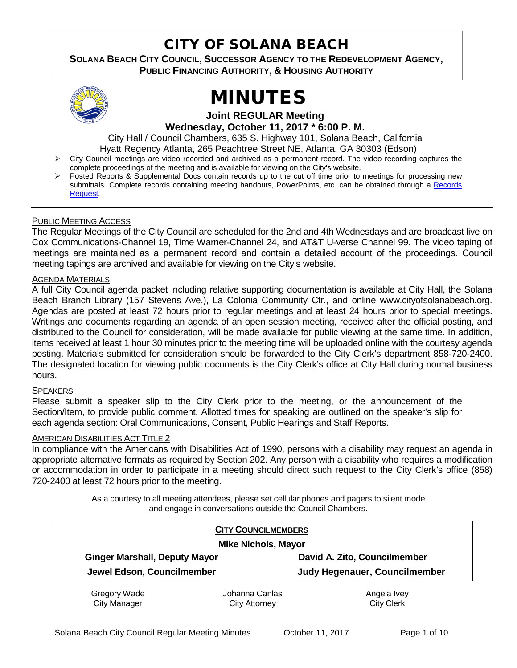## CITY OF SOLANA BEACH

**SOLANA BEACH CITY COUNCIL, SUCCESSOR AGENCY TO THE REDEVELOPMENT AGENCY, PUBLIC FINANCING AUTHORITY, & HOUSING AUTHORITY** 



# MINUTES

**Joint REGULAR Meeting Wednesday, October 11, 2017 \* 6:00 P. M.**

City Hall / Council Chambers, 635 S. Highway 101, Solana Beach, California Hyatt Regency Atlanta, 265 Peachtree Street NE, Atlanta, GA 30303 (Edson)

- City Council meetings are video recorded and archived as a permanent record. The video recording captures the complete proceedings of the meeting and is available for viewing on the City's website.
- Posted Reports & Supplemental Docs contain records up to the cut off time prior to meetings for processing new submittals. Complete records containing meeting handouts, PowerPoints, etc. can be obtained through a Records [Request.](http://www.ci.solana-beach.ca.us/index.asp?SEC=F5D45D10-70CE-4291-A27C-7BD633FC6742&Type=B_BASIC)

#### PUBLIC MEETING ACCESS

The Regular Meetings of the City Council are scheduled for the 2nd and 4th Wednesdays and are broadcast live on Cox Communications-Channel 19, Time Warner-Channel 24, and AT&T U-verse Channel 99. The video taping of meetings are maintained as a permanent record and contain a detailed account of the proceedings. Council meeting tapings are archived and available for viewing on the City's website.

#### AGENDA MATERIALS

A full City Council agenda packet including relative supporting documentation is available at City Hall, the Solana Beach Branch Library (157 Stevens Ave.), La Colonia Community Ctr., and online www.cityofsolanabeach.org. Agendas are posted at least 72 hours prior to regular meetings and at least 24 hours prior to special meetings. Writings and documents regarding an agenda of an open session meeting, received after the official posting, and distributed to the Council for consideration, will be made available for public viewing at the same time. In addition, items received at least 1 hour 30 minutes prior to the meeting time will be uploaded online with the courtesy agenda posting. Materials submitted for consideration should be forwarded to the City Clerk's department 858-720-2400. The designated location for viewing public documents is the City Clerk's office at City Hall during normal business hours.

#### **SPEAKERS**

Please submit a speaker slip to the City Clerk prior to the meeting, or the announcement of the Section/Item, to provide public comment. Allotted times for speaking are outlined on the speaker's slip for each agenda section: Oral Communications, Consent, Public Hearings and Staff Reports.

#### AMERICAN DISABILITIES ACT TITLE 2

In compliance with the Americans with Disabilities Act of 1990, persons with a disability may request an agenda in appropriate alternative formats as required by Section 202. Any person with a disability who requires a modification or accommodation in order to participate in a meeting should direct such request to the City Clerk's office (858) 720-2400 at least 72 hours prior to the meeting.

> As a courtesy to all meeting attendees, please set cellular phones and pagers to silent mode and engage in conversations outside the Council Chambers.

| <b>CITY COUNCILMEMBERS</b><br><b>Mike Nichols, Mayor</b> |                                        |                                  |  |
|----------------------------------------------------------|----------------------------------------|----------------------------------|--|
|                                                          |                                        |                                  |  |
| Judy Hegenauer, Councilmember                            |                                        |                                  |  |
| Gregory Wade<br><b>City Manager</b>                      | Johanna Canlas<br><b>City Attorney</b> | Angela Ivey<br><b>City Clerk</b> |  |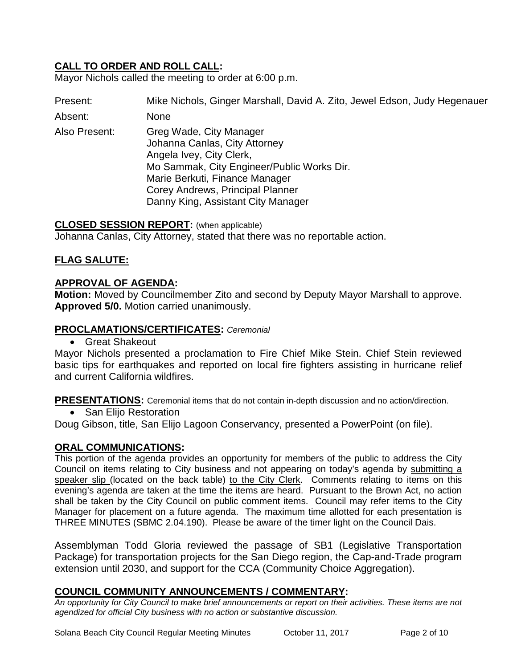## **CALL TO ORDER AND ROLL CALL:**

Mayor Nichols called the meeting to order at 6:00 p.m.

Present: Mike Nichols, Ginger Marshall, David A. Zito, Jewel Edson, Judy Hegenauer

Absent: None

Also Present: Greg Wade, City Manager Johanna Canlas, City Attorney Angela Ivey, City Clerk, Mo Sammak, City Engineer/Public Works Dir. Marie Berkuti, Finance Manager Corey Andrews, Principal Planner Danny King, Assistant City Manager

#### **CLOSED SESSION REPORT:** (when applicable)

Johanna Canlas, City Attorney, stated that there was no reportable action.

## **FLAG SALUTE:**

#### **APPROVAL OF AGENDA:**

**Motion:** Moved by Councilmember Zito and second by Deputy Mayor Marshall to approve. **Approved 5/0.** Motion carried unanimously.

#### **PROCLAMATIONS/CERTIFICATES:** *Ceremonial*

• Great Shakeout

Mayor Nichols presented a proclamation to Fire Chief Mike Stein. Chief Stein reviewed basic tips for earthquakes and reported on local fire fighters assisting in hurricane relief and current California wildfires.

**PRESENTATIONS:** Ceremonial items that do not contain in-depth discussion and no action/direction.

• San Elijo Restoration

Doug Gibson, title, San Elijo Lagoon Conservancy, presented a PowerPoint (on file).

#### **ORAL COMMUNICATIONS:**

This portion of the agenda provides an opportunity for members of the public to address the City Council on items relating to City business and not appearing on today's agenda by submitting a speaker slip (located on the back table) to the City Clerk. Comments relating to items on this evening's agenda are taken at the time the items are heard. Pursuant to the Brown Act, no action shall be taken by the City Council on public comment items. Council may refer items to the City Manager for placement on a future agenda. The maximum time allotted for each presentation is THREE MINUTES (SBMC 2.04.190). Please be aware of the timer light on the Council Dais.

Assemblyman Todd Gloria reviewed the passage of SB1 (Legislative Transportation Package) for transportation projects for the San Diego region, the Cap-and-Trade program extension until 2030, and support for the CCA (Community Choice Aggregation).

## **COUNCIL COMMUNITY ANNOUNCEMENTS / COMMENTARY:**

*An opportunity for City Council to make brief announcements or report on their activities. These items are not agendized for official City business with no action or substantive discussion.*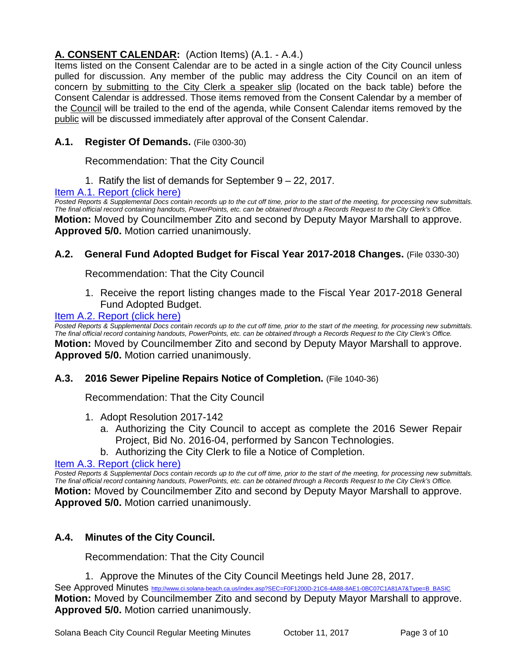## **A. CONSENT CALENDAR:** (Action Items) (A.1. - A.4.)

Items listed on the Consent Calendar are to be acted in a single action of the City Council unless pulled for discussion. Any member of the public may address the City Council on an item of concern by submitting to the City Clerk a speaker slip (located on the back table) before the Consent Calendar is addressed. Those items removed from the Consent Calendar by a member of the Council will be trailed to the end of the agenda, while Consent Calendar items removed by the public will be discussed immediately after approval of the Consent Calendar.

## **A.1. Register Of Demands.** (File 0300-30)

Recommendation: That the City Council

1. Ratify the list of demands for September 9 – 22, 2017.

## [Item A.1. Report \(click here\)](https://solanabeach.govoffice3.com/vertical/Sites/%7B840804C2-F869-4904-9AE3-720581350CE7%7D/uploads/Item_A.1._Report_(click_here)_10-11-17.PDF)

*Posted Reports & Supplemental Docs contain records up to the cut off time, prior to the start of the meeting, for processing new submittals. The final official record containing handouts, PowerPoints, etc. can be obtained through a Records Request to the City Clerk's Office.* **Motion:** Moved by Councilmember Zito and second by Deputy Mayor Marshall to approve. **Approved 5/0.** Motion carried unanimously.

## **A.2. General Fund Adopted Budget for Fiscal Year 2017-2018 Changes.** (File 0330-30)

Recommendation: That the City Council

1. Receive the report listing changes made to the Fiscal Year 2017-2018 General Fund Adopted Budget.

## [Item A.2. Report \(click here\)](https://solanabeach.govoffice3.com/vertical/Sites/%7B840804C2-F869-4904-9AE3-720581350CE7%7D/uploads/Item_A.2._Report_(click_here)_10-11-17.PDF)

*Posted Reports & Supplemental Docs contain records up to the cut off time, prior to the start of the meeting, for processing new submittals. The final official record containing handouts, PowerPoints, etc. can be obtained through a Records Request to the City Clerk's Office.* **Motion:** Moved by Councilmember Zito and second by Deputy Mayor Marshall to approve. **Approved 5/0.** Motion carried unanimously.

## **A.3. 2016 Sewer Pipeline Repairs Notice of Completion.** (File 1040-36)

Recommendation: That the City Council

- 1. Adopt Resolution 2017-142
	- a. Authorizing the City Council to accept as complete the 2016 Sewer Repair Project, Bid No. 2016-04, performed by Sancon Technologies.
	- b. Authorizing the City Clerk to file a Notice of Completion.

## [Item A.3. Report \(click here\)](https://solanabeach.govoffice3.com/vertical/Sites/%7B840804C2-F869-4904-9AE3-720581350CE7%7D/uploads/Item_A.3._Report_(click_here)_10-11-17_.PDF)

*Posted Reports & Supplemental Docs contain records up to the cut off time, prior to the start of the meeting, for processing new submittals. The final official record containing handouts, PowerPoints, etc. can be obtained through a Records Request to the City Clerk's Office.* **Motion:** Moved by Councilmember Zito and second by Deputy Mayor Marshall to approve. **Approved 5/0.** Motion carried unanimously.

## **A.4. Minutes of the City Council.**

Recommendation: That the City Council

1. Approve the Minutes of the City Council Meetings held June 28, 2017.

See Approved Minutes [http://www.ci.solana-beach.ca.us/index.asp?SEC=F0F1200D-21C6-4A88-8AE1-0BC07C1A81A7&Type=B\\_BASIC](http://www.ci.solana-beach.ca.us/index.asp?SEC=F0F1200D-21C6-4A88-8AE1-0BC07C1A81A7&Type=B_BASIC) **Motion:** Moved by Councilmember Zito and second by Deputy Mayor Marshall to approve. **Approved 5/0.** Motion carried unanimously.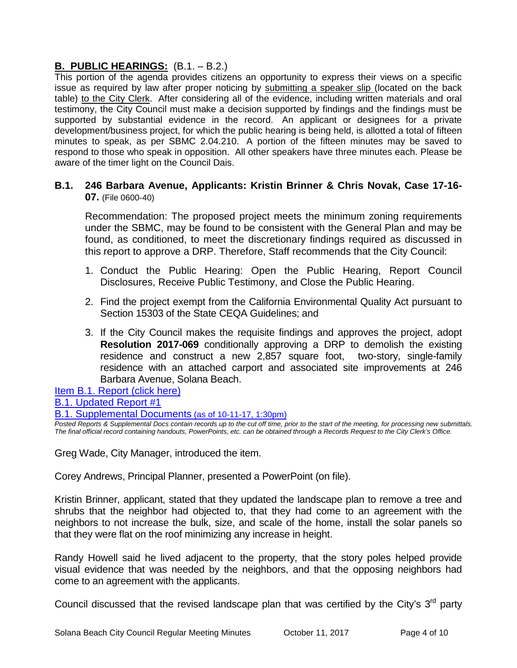## **B. PUBLIC HEARINGS:** (B.1. – B.2.)

This portion of the agenda provides citizens an opportunity to express their views on a specific issue as required by law after proper noticing by submitting a speaker slip (located on the back table) to the City Clerk. After considering all of the evidence, including written materials and oral testimony, the City Council must make a decision supported by findings and the findings must be supported by substantial evidence in the record. An applicant or designees for a private development/business project, for which the public hearing is being held, is allotted a total of fifteen minutes to speak, as per SBMC 2.04.210. A portion of the fifteen minutes may be saved to respond to those who speak in opposition. All other speakers have three minutes each. Please be aware of the timer light on the Council Dais.

## **B.1. 246 Barbara Avenue, Applicants: Kristin Brinner & Chris Novak, Case 17-16- 07.** (File 0600-40)

Recommendation: The proposed project meets the minimum zoning requirements under the SBMC, may be found to be consistent with the General Plan and may be found, as conditioned, to meet the discretionary findings required as discussed in this report to approve a DRP. Therefore, Staff recommends that the City Council:

- 1. Conduct the Public Hearing: Open the Public Hearing, Report Council Disclosures, Receive Public Testimony, and Close the Public Hearing.
- 2. Find the project exempt from the California Environmental Quality Act pursuant to Section 15303 of the State CEQA Guidelines; and
- 3. If the City Council makes the requisite findings and approves the project, adopt **Resolution 2017-069** conditionally approving a DRP to demolish the existing residence and construct a new 2,857 square foot, two-story, single-family residence with an attached carport and associated site improvements at 246 Barbara Avenue, Solana Beach.

## [Item B.1. Report \(click here\)](https://solanabeach.govoffice3.com/vertical/Sites/%7B840804C2-F869-4904-9AE3-720581350CE7%7D/uploads/Item_B.1._Report_(click_here)_10-11-17.PDF)

[B.1. Updated Report #1](https://solanabeach.govoffice3.com/vertical/Sites/%7B840804C2-F869-4904-9AE3-720581350CE7%7D/uploads/B.1._Updated_Report_1(4).pdf)

[B.1. Supplemental Documents](https://solanabeach.govoffice3.com/vertical/Sites/%7B840804C2-F869-4904-9AE3-720581350CE7%7D/uploads/B.1._Supplemental_Documents_10-11_(130pm).pdf) (as of 10-11-17, 1:30pm)

*Posted Reports & Supplemental Docs contain records up to the cut off time, prior to the start of the meeting, for processing new submittals. The final official record containing handouts, PowerPoints, etc. can be obtained through a Records Request to the City Clerk's Office.*

Greg Wade, City Manager, introduced the item.

Corey Andrews, Principal Planner, presented a PowerPoint (on file).

Kristin Brinner, applicant, stated that they updated the landscape plan to remove a tree and shrubs that the neighbor had objected to, that they had come to an agreement with the neighbors to not increase the bulk, size, and scale of the home, install the solar panels so that they were flat on the roof minimizing any increase in height.

Randy Howell said he lived adjacent to the property, that the story poles helped provide visual evidence that was needed by the neighbors, and that the opposing neighbors had come to an agreement with the applicants.

Council discussed that the revised landscape plan that was certified by the City's  $3<sup>rd</sup>$  party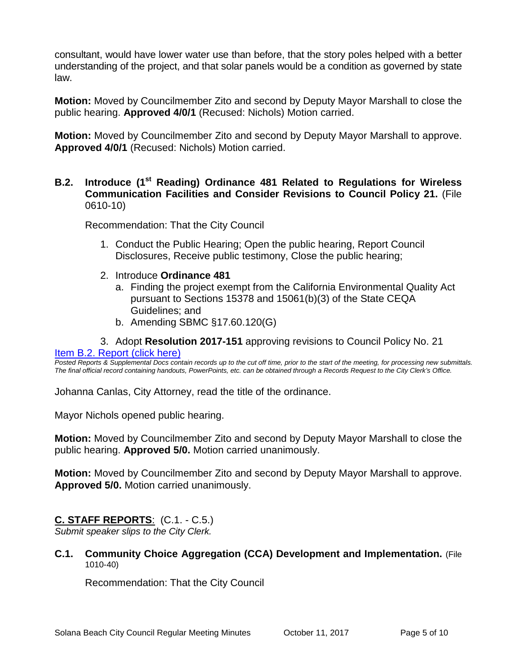consultant, would have lower water use than before, that the story poles helped with a better understanding of the project, and that solar panels would be a condition as governed by state law.

**Motion:** Moved by Councilmember Zito and second by Deputy Mayor Marshall to close the public hearing. **Approved 4/0/1** (Recused: Nichols) Motion carried.

**Motion:** Moved by Councilmember Zito and second by Deputy Mayor Marshall to approve. **Approved 4/0/1** (Recused: Nichols) Motion carried.

## **B.2. Introduce (1st Reading) Ordinance 481 Related to Regulations for Wireless Communication Facilities and Consider Revisions to Council Policy 21.** (File 0610-10)

Recommendation: That the City Council

- 1. Conduct the Public Hearing; Open the public hearing, Report Council Disclosures, Receive public testimony, Close the public hearing;
- 2. Introduce **Ordinance 481**
	- a. Finding the project exempt from the California Environmental Quality Act pursuant to Sections 15378 and 15061(b)(3) of the State CEQA Guidelines; and
	- b. Amending SBMC §17.60.120(G)

## 3. Adopt **Resolution 2017-151** approving revisions to Council Policy No. 21

#### [Item B.2. Report \(click here\)](https://solanabeach.govoffice3.com/vertical/Sites/%7B840804C2-F869-4904-9AE3-720581350CE7%7D/uploads/Item_B.2._Report_(click_here)_10-11-17.PDF)

*Posted Reports & Supplemental Docs contain records up to the cut off time, prior to the start of the meeting, for processing new submittals. The final official record containing handouts, PowerPoints, etc. can be obtained through a Records Request to the City Clerk's Office.*

Johanna Canlas, City Attorney, read the title of the ordinance.

Mayor Nichols opened public hearing.

**Motion:** Moved by Councilmember Zito and second by Deputy Mayor Marshall to close the public hearing. **Approved 5/0.** Motion carried unanimously.

**Motion:** Moved by Councilmember Zito and second by Deputy Mayor Marshall to approve. **Approved 5/0.** Motion carried unanimously.

## **C. STAFF REPORTS**: (C.1. - C.5.)

*Submit speaker slips to the City Clerk.*

**C.1. Community Choice Aggregation (CCA) Development and Implementation.** (File 1010-40)

Recommendation: That the City Council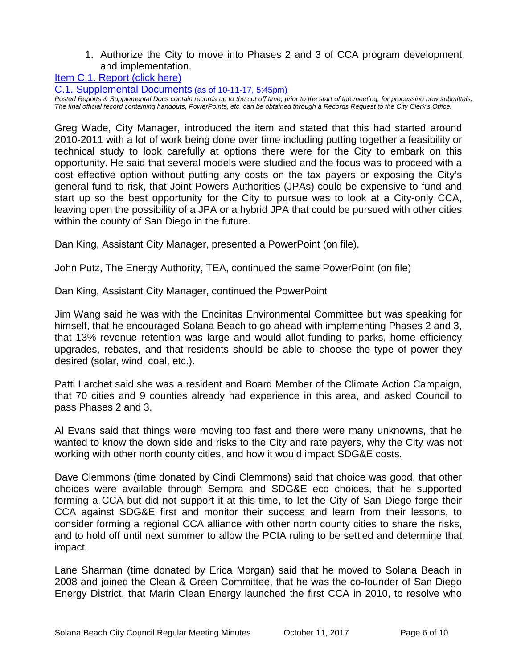1. Authorize the City to move into Phases 2 and 3 of CCA program development and implementation.

[Item C.1. Report \(click here\)](https://solanabeach.govoffice3.com/vertical/Sites/%7B840804C2-F869-4904-9AE3-720581350CE7%7D/uploads/Item_C.1._Report_(click_here)_10-11-17.PDF)

[C.1. Supplemental Documents](https://solanabeach.govoffice3.com/vertical/Sites/%7B840804C2-F869-4904-9AE3-720581350CE7%7D/uploads/C.1._Supplemental_Documents_-_10-11_(215pm)(1).PDF) (as of 10-11-17, 5:45pm)

*Posted Reports & Supplemental Docs contain records up to the cut off time, prior to the start of the meeting, for processing new submittals. The final official record containing handouts, PowerPoints, etc. can be obtained through a Records Request to the City Clerk's Office.*

Greg Wade, City Manager, introduced the item and stated that this had started around 2010-2011 with a lot of work being done over time including putting together a feasibility or technical study to look carefully at options there were for the City to embark on this opportunity. He said that several models were studied and the focus was to proceed with a cost effective option without putting any costs on the tax payers or exposing the City's general fund to risk, that Joint Powers Authorities (JPAs) could be expensive to fund and start up so the best opportunity for the City to pursue was to look at a City-only CCA, leaving open the possibility of a JPA or a hybrid JPA that could be pursued with other cities within the county of San Diego in the future.

Dan King, Assistant City Manager, presented a PowerPoint (on file).

John Putz, The Energy Authority, TEA, continued the same PowerPoint (on file)

Dan King, Assistant City Manager, continued the PowerPoint

Jim Wang said he was with the Encinitas Environmental Committee but was speaking for himself, that he encouraged Solana Beach to go ahead with implementing Phases 2 and 3, that 13% revenue retention was large and would allot funding to parks, home efficiency upgrades, rebates, and that residents should be able to choose the type of power they desired (solar, wind, coal, etc.).

Patti Larchet said she was a resident and Board Member of the Climate Action Campaign, that 70 cities and 9 counties already had experience in this area, and asked Council to pass Phases 2 and 3.

Al Evans said that things were moving too fast and there were many unknowns, that he wanted to know the down side and risks to the City and rate payers, why the City was not working with other north county cities, and how it would impact SDG&E costs.

Dave Clemmons (time donated by Cindi Clemmons) said that choice was good, that other choices were available through Sempra and SDG&E eco choices, that he supported forming a CCA but did not support it at this time, to let the City of San Diego forge their CCA against SDG&E first and monitor their success and learn from their lessons, to consider forming a regional CCA alliance with other north county cities to share the risks, and to hold off until next summer to allow the PCIA ruling to be settled and determine that impact.

Lane Sharman (time donated by Erica Morgan) said that he moved to Solana Beach in 2008 and joined the Clean & Green Committee, that he was the co-founder of San Diego Energy District, that Marin Clean Energy launched the first CCA in 2010, to resolve who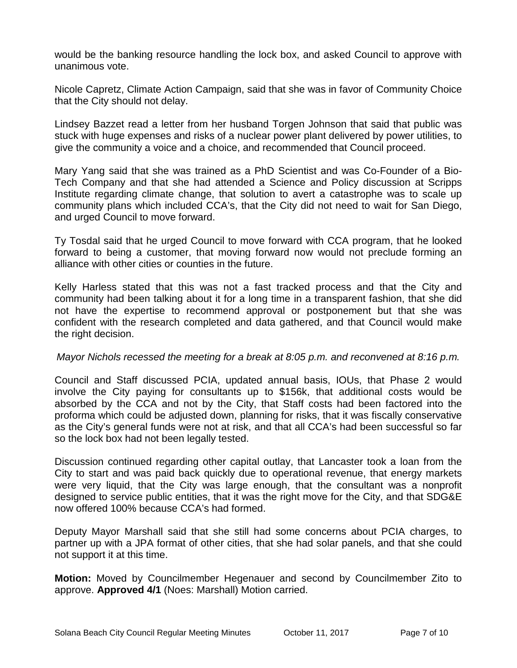would be the banking resource handling the lock box, and asked Council to approve with unanimous vote.

Nicole Capretz, Climate Action Campaign, said that she was in favor of Community Choice that the City should not delay.

Lindsey Bazzet read a letter from her husband Torgen Johnson that said that public was stuck with huge expenses and risks of a nuclear power plant delivered by power utilities, to give the community a voice and a choice, and recommended that Council proceed.

Mary Yang said that she was trained as a PhD Scientist and was Co-Founder of a Bio-Tech Company and that she had attended a Science and Policy discussion at Scripps Institute regarding climate change, that solution to avert a catastrophe was to scale up community plans which included CCA's, that the City did not need to wait for San Diego, and urged Council to move forward.

Ty Tosdal said that he urged Council to move forward with CCA program, that he looked forward to being a customer, that moving forward now would not preclude forming an alliance with other cities or counties in the future.

Kelly Harless stated that this was not a fast tracked process and that the City and community had been talking about it for a long time in a transparent fashion, that she did not have the expertise to recommend approval or postponement but that she was confident with the research completed and data gathered, and that Council would make the right decision.

## *Mayor Nichols recessed the meeting for a break at 8:05 p.m. and reconvened at 8:16 p.m.*

Council and Staff discussed PCIA, updated annual basis, IOUs, that Phase 2 would involve the City paying for consultants up to \$156k, that additional costs would be absorbed by the CCA and not by the City, that Staff costs had been factored into the proforma which could be adjusted down, planning for risks, that it was fiscally conservative as the City's general funds were not at risk, and that all CCA's had been successful so far so the lock box had not been legally tested.

Discussion continued regarding other capital outlay, that Lancaster took a loan from the City to start and was paid back quickly due to operational revenue, that energy markets were very liquid, that the City was large enough, that the consultant was a nonprofit designed to service public entities, that it was the right move for the City, and that SDG&E now offered 100% because CCA's had formed.

Deputy Mayor Marshall said that she still had some concerns about PCIA charges, to partner up with a JPA format of other cities, that she had solar panels, and that she could not support it at this time.

**Motion:** Moved by Councilmember Hegenauer and second by Councilmember Zito to approve. **Approved 4/1** (Noes: Marshall) Motion carried.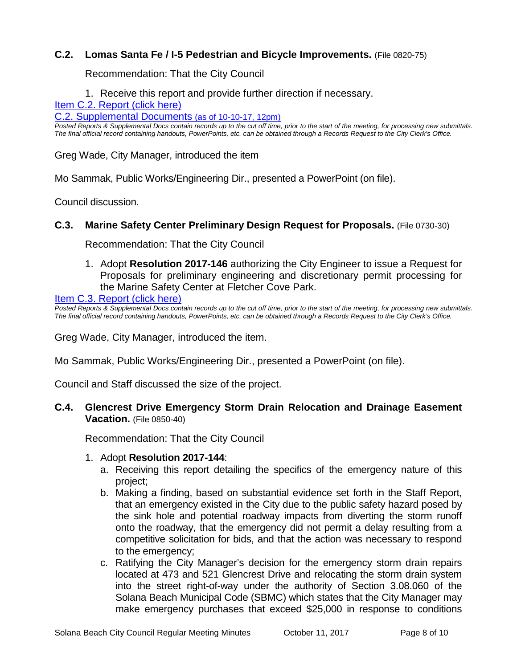## **C.2. Lomas Santa Fe / I-5 Pedestrian and Bicycle Improvements.** (File 0820-75)

Recommendation: That the City Council

1. Receive this report and provide further direction if necessary.

[Item C.2. Report \(click here\)](https://solanabeach.govoffice3.com/vertical/Sites/%7B840804C2-F869-4904-9AE3-720581350CE7%7D/uploads/Item_C.2._Report_(click_here)_10-11-17.PDF)

[C.2. Supplemental Documents \(as of 10-10-17, 12pm\)](https://solanabeach.govoffice3.com/vertical/Sites/%7B840804C2-F869-4904-9AE3-720581350CE7%7D/uploads/C.2._Supplemental_Documents_(10-10_12pm).pdf)

*Posted Reports & Supplemental Docs contain records up to the cut off time, prior to the start of the meeting, for processing new submittals. The final official record containing handouts, PowerPoints, etc. can be obtained through a Records Request to the City Clerk's Office.*

Greg Wade, City Manager, introduced the item

Mo Sammak, Public Works/Engineering Dir., presented a PowerPoint (on file).

Council discussion.

#### **C.3. Marine Safety Center Preliminary Design Request for Proposals.** (File 0730-30)

Recommendation: That the City Council

1. Adopt **Resolution 2017-146** authorizing the City Engineer to issue a Request for Proposals for preliminary engineering and discretionary permit processing for the Marine Safety Center at Fletcher Cove Park.

[Item C.3. Report \(click here\)](https://solanabeach.govoffice3.com/vertical/Sites/%7B840804C2-F869-4904-9AE3-720581350CE7%7D/uploads/Item_C.3._Report_(click_here)_10-11-17.PDF) 

*Posted Reports & Supplemental Docs contain records up to the cut off time, prior to the start of the meeting, for processing new submittals. The final official record containing handouts, PowerPoints, etc. can be obtained through a Records Request to the City Clerk's Office.*

Greg Wade, City Manager, introduced the item.

Mo Sammak, Public Works/Engineering Dir., presented a PowerPoint (on file).

Council and Staff discussed the size of the project.

#### **C.4. Glencrest Drive Emergency Storm Drain Relocation and Drainage Easement Vacation.** (File 0850-40)

Recommendation: That the City Council

#### 1. Adopt **Resolution 2017-144**:

- a. Receiving this report detailing the specifics of the emergency nature of this project;
- b. Making a finding, based on substantial evidence set forth in the Staff Report, that an emergency existed in the City due to the public safety hazard posed by the sink hole and potential roadway impacts from diverting the storm runoff onto the roadway, that the emergency did not permit a delay resulting from a competitive solicitation for bids, and that the action was necessary to respond to the emergency;
- c. Ratifying the City Manager's decision for the emergency storm drain repairs located at 473 and 521 Glencrest Drive and relocating the storm drain system into the street right-of-way under the authority of Section 3.08.060 of the Solana Beach Municipal Code (SBMC) which states that the City Manager may make emergency purchases that exceed \$25,000 in response to conditions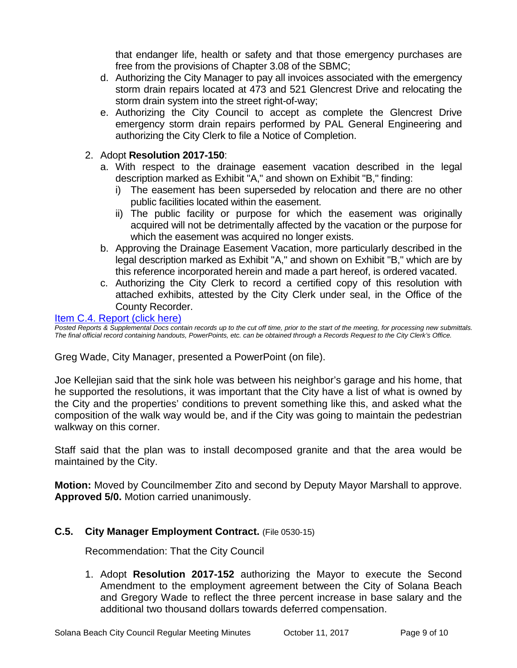that endanger life, health or safety and that those emergency purchases are free from the provisions of Chapter 3.08 of the SBMC;

- d. Authorizing the City Manager to pay all invoices associated with the emergency storm drain repairs located at 473 and 521 Glencrest Drive and relocating the storm drain system into the street right-of-way;
- e. Authorizing the City Council to accept as complete the Glencrest Drive emergency storm drain repairs performed by PAL General Engineering and authorizing the City Clerk to file a Notice of Completion.

## 2. Adopt **Resolution 2017-150**:

- a. With respect to the drainage easement vacation described in the legal description marked as Exhibit "A," and shown on Exhibit "B," finding:
	- i) The easement has been superseded by relocation and there are no other public facilities located within the easement.
	- ii) The public facility or purpose for which the easement was originally acquired will not be detrimentally affected by the vacation or the purpose for which the easement was acquired no longer exists.
- b. Approving the Drainage Easement Vacation, more particularly described in the legal description marked as Exhibit "A," and shown on Exhibit "B," which are by this reference incorporated herein and made a part hereof, is ordered vacated.
- c. Authorizing the City Clerk to record a certified copy of this resolution with attached exhibits, attested by the City Clerk under seal, in the Office of the County Recorder.

#### [Item C.4. Report \(click here\)](https://solanabeach.govoffice3.com/vertical/Sites/%7B840804C2-F869-4904-9AE3-720581350CE7%7D/uploads/Item_C.4._Report_(click_here)_10-11-17.PDF)

*Posted Reports & Supplemental Docs contain records up to the cut off time, prior to the start of the meeting, for processing new submittals. The final official record containing handouts, PowerPoints, etc. can be obtained through a Records Request to the City Clerk's Office.*

Greg Wade, City Manager, presented a PowerPoint (on file).

Joe Kellejian said that the sink hole was between his neighbor's garage and his home, that he supported the resolutions, it was important that the City have a list of what is owned by the City and the properties' conditions to prevent something like this, and asked what the composition of the walk way would be, and if the City was going to maintain the pedestrian walkway on this corner.

Staff said that the plan was to install decomposed granite and that the area would be maintained by the City.

**Motion:** Moved by Councilmember Zito and second by Deputy Mayor Marshall to approve. **Approved 5/0.** Motion carried unanimously.

## **C.5. City Manager Employment Contract.** (File 0530-15)

Recommendation: That the City Council

1. Adopt **Resolution 2017-152** authorizing the Mayor to execute the Second Amendment to the employment agreement between the City of Solana Beach and Gregory Wade to reflect the three percent increase in base salary and the additional two thousand dollars towards deferred compensation.